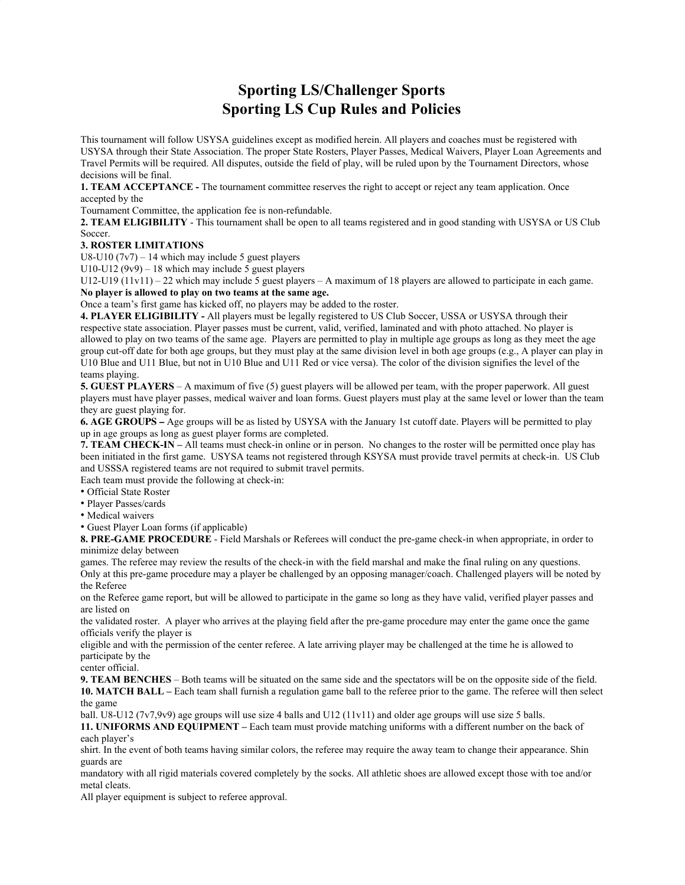## **Sporting LS/Challenger Sports Sporting LS Cup Rules and Policies**

This tournament will follow USYSA guidelines except as modified herein. All players and coaches must be registered with USYSA through their State Association. The proper State Rosters, Player Passes, Medical Waivers, Player Loan Agreements and Travel Permits will be required. All disputes, outside the field of play, will be ruled upon by the Tournament Directors, whose decisions will be final.

**1. TEAM ACCEPTANCE -** The tournament committee reserves the right to accept or reject any team application. Once accepted by the

Tournament Committee, the application fee is non-refundable.

**2. TEAM ELIGIBILITY** - This tournament shall be open to all teams registered and in good standing with USYSA or US Club Soccer.

## **3. ROSTER LIMITATIONS**

U8-U10  $(7v7)$  – 14 which may include 5 guest players

U10-U12 (9v9) – 18 which may include 5 guest players

U12-U19 (11v11) – 22 which may include 5 guest players – A maximum of 18 players are allowed to participate in each game. **No player is allowed to play on two teams at the same age.**

Once a team's first game has kicked off, no players may be added to the roster.

**4. PLAYER ELIGIBILITY -** All players must be legally registered to US Club Soccer, USSA or USYSA through their respective state association. Player passes must be current, valid, verified, laminated and with photo attached. No player is allowed to play on two teams of the same age. Players are permitted to play in multiple age groups as long as they meet the age group cut-off date for both age groups, but they must play at the same division level in both age groups (e.g., A player can play in U10 Blue and U11 Blue, but not in U10 Blue and U11 Red or vice versa). The color of the division signifies the level of the teams playing.

**5. GUEST PLAYERS** – A maximum of five (5) guest players will be allowed per team, with the proper paperwork. All guest players must have player passes, medical waiver and loan forms. Guest players must play at the same level or lower than the team they are guest playing for.

**6. AGE GROUPS –** Age groups will be as listed by USYSA with the January 1st cutoff date. Players will be permitted to play up in age groups as long as guest player forms are completed.

**7. TEAM CHECK-IN –** All teams must check-in online or in person. No changes to the roster will be permitted once play has been initiated in the first game. USYSA teams not registered through KSYSA must provide travel permits at check-in. US Club and USSSA registered teams are not required to submit travel permits.

Each team must provide the following at check-in:

- Official State Roster
- Player Passes/cards
- Medical waivers

• Guest Player Loan forms (if applicable)

**8. PRE-GAME PROCEDURE** - Field Marshals or Referees will conduct the pre-game check-in when appropriate, in order to minimize delay between

games. The referee may review the results of the check-in with the field marshal and make the final ruling on any questions. Only at this pre-game procedure may a player be challenged by an opposing manager/coach. Challenged players will be noted by the Referee

on the Referee game report, but will be allowed to participate in the game so long as they have valid, verified player passes and are listed on

the validated roster. A player who arrives at the playing field after the pre-game procedure may enter the game once the game officials verify the player is

eligible and with the permission of the center referee. A late arriving player may be challenged at the time he is allowed to participate by the

center official.

**9. TEAM BENCHES** – Both teams will be situated on the same side and the spectators will be on the opposite side of the field. **10. MATCH BALL –** Each team shall furnish a regulation game ball to the referee prior to the game. The referee will then select the game

ball. U8-U12 (7v7,9v9) age groups will use size 4 balls and U12 (11v11) and older age groups will use size 5 balls.

**11. UNIFORMS AND EQUIPMENT –** Each team must provide matching uniforms with a different number on the back of each player's

shirt. In the event of both teams having similar colors, the referee may require the away team to change their appearance. Shin guards are

mandatory with all rigid materials covered completely by the socks. All athletic shoes are allowed except those with toe and/or metal cleats.

All player equipment is subject to referee approval.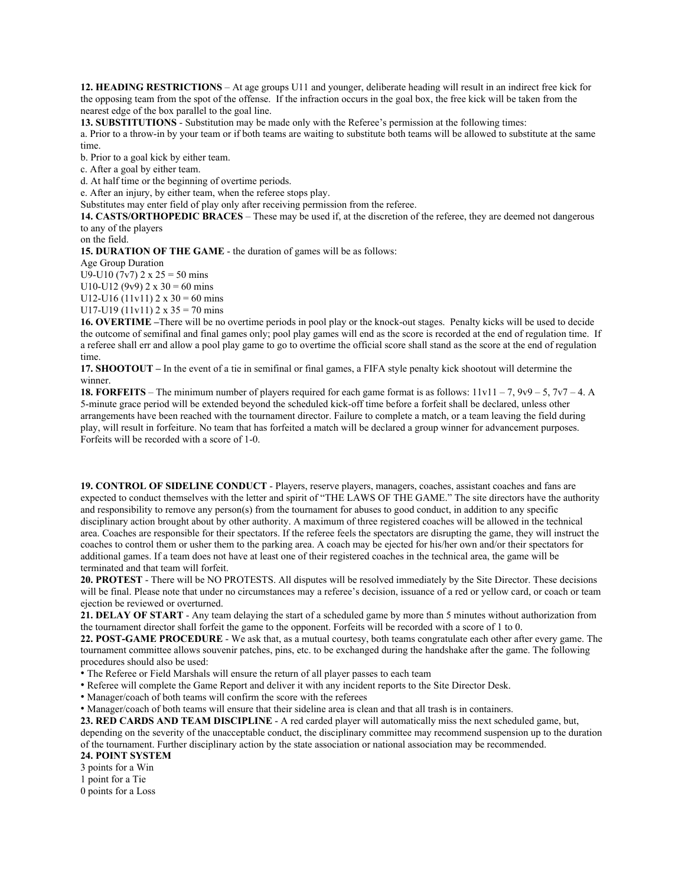**12. HEADING RESTRICTIONS** – At age groups U11 and younger, deliberate heading will result in an indirect free kick for the opposing team from the spot of the offense. If the infraction occurs in the goal box, the free kick will be taken from the nearest edge of the box parallel to the goal line.

**13. SUBSTITUTIONS** - Substitution may be made only with the Referee's permission at the following times:

a. Prior to a throw-in by your team or if both teams are waiting to substitute both teams will be allowed to substitute at the same time.

b. Prior to a goal kick by either team.

c. After a goal by either team.

d. At half time or the beginning of overtime periods.

e. After an injury, by either team, when the referee stops play.

Substitutes may enter field of play only after receiving permission from the referee.

**14. CASTS/ORTHOPEDIC BRACES** – These may be used if, at the discretion of the referee, they are deemed not dangerous to any of the players

on the field.

**15. DURATION OF THE GAME** - the duration of games will be as follows:

Age Group Duration

U9-U10 (7v7)  $2 \times 25 = 50$  mins U10-U12 (9v9)  $2 \times 30 = 60$  mins

U12-U16  $(11v11)$  2 x 30 = 60 mins U17-U19  $(11v11)$  2 x 35 = 70 mins

**16. OVERTIME –**There will be no overtime periods in pool play or the knock-out stages. Penalty kicks will be used to decide the outcome of semifinal and final games only; pool play games will end as the score is recorded at the end of regulation time. If a referee shall err and allow a pool play game to go to overtime the official score shall stand as the score at the end of regulation time.

**17. SHOOTOUT –** In the event of a tie in semifinal or final games, a FIFA style penalty kick shootout will determine the winner.

**18. FORFEITS** – The minimum number of players required for each game format is as follows: 11v11 – 7, 9v9 – 5, 7v7 – 4. A 5-minute grace period will be extended beyond the scheduled kick-off time before a forfeit shall be declared, unless other arrangements have been reached with the tournament director. Failure to complete a match, or a team leaving the field during play, will result in forfeiture. No team that has forfeited a match will be declared a group winner for advancement purposes. Forfeits will be recorded with a score of 1-0.

**19. CONTROL OF SIDELINE CONDUCT** - Players, reserve players, managers, coaches, assistant coaches and fans are expected to conduct themselves with the letter and spirit of "THE LAWS OF THE GAME." The site directors have the authority and responsibility to remove any person(s) from the tournament for abuses to good conduct, in addition to any specific disciplinary action brought about by other authority. A maximum of three registered coaches will be allowed in the technical area. Coaches are responsible for their spectators. If the referee feels the spectators are disrupting the game, they will instruct the coaches to control them or usher them to the parking area. A coach may be ejected for his/her own and/or their spectators for additional games. If a team does not have at least one of their registered coaches in the technical area, the game will be terminated and that team will forfeit.

**20. PROTEST** - There will be NO PROTESTS. All disputes will be resolved immediately by the Site Director. These decisions will be final. Please note that under no circumstances may a referee's decision, issuance of a red or yellow card, or coach or team ejection be reviewed or overturned.

**21. DELAY OF START** - Any team delaying the start of a scheduled game by more than 5 minutes without authorization from the tournament director shall forfeit the game to the opponent. Forfeits will be recorded with a score of 1 to 0.

**22. POST-GAME PROCEDURE** - We ask that, as a mutual courtesy, both teams congratulate each other after every game. The tournament committee allows souvenir patches, pins, etc. to be exchanged during the handshake after the game. The following procedures should also be used:

• The Referee or Field Marshals will ensure the return of all player passes to each team

• Referee will complete the Game Report and deliver it with any incident reports to the Site Director Desk.

• Manager/coach of both teams will confirm the score with the referees

• Manager/coach of both teams will ensure that their sideline area is clean and that all trash is in containers.

**23. RED CARDS AND TEAM DISCIPLINE** - A red carded player will automatically miss the next scheduled game, but, depending on the severity of the unacceptable conduct, the disciplinary committee may recommend suspension up to the duration of the tournament. Further disciplinary action by the state association or national association may be recommended. **24. POINT SYSTEM**

3 points for a Win

1 point for a Tie

0 points for a Loss